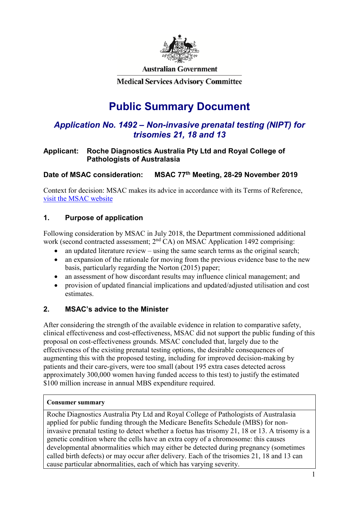

**Australian Government** 

**Medical Services Advisory Committee** 

# **Public Summary Document**

## *Application No. 1492 – Non-invasive prenatal testing (NIPT) for trisomies 21, 18 and 13*

#### **Applicant: Roche Diagnostics Australia Pty Ltd and Royal College of Pathologists of Australasia**

#### **Date of MSAC consideration: MSAC 77th Meeting, 28-29 November 2019**

Context for decision: MSAC makes its advice in accordance with its Terms of Reference, [visit the MSAC website](http://www.msac.gov.au/)

#### **1. Purpose of application**

Following consideration by MSAC in July 2018, the Department commissioned additional work (second contracted assessment;  $2<sup>nd</sup> CA$ ) on MSAC Application 1492 comprising:

- an updated literature review using the same search terms as the original search;
- an expansion of the rationale for moving from the previous evidence base to the new basis, particularly regarding the Norton (2015) paper;
- an assessment of how discordant results may influence clinical management; and
- provision of updated financial implications and updated/adjusted utilisation and cost estimates.

#### **2. MSAC's advice to the Minister**

After considering the strength of the available evidence in relation to comparative safety, clinical effectiveness and cost-effectiveness, MSAC did not support the public funding of this proposal on cost-effectiveness grounds. MSAC concluded that, largely due to the effectiveness of the existing prenatal testing options, the desirable consequences of augmenting this with the proposed testing, including for improved decision-making by patients and their care-givers, were too small (about 195 extra cases detected across approximately 300,000 women having funded access to this test) to justify the estimated \$100 million increase in annual MBS expenditure required.

#### **Consumer summary**

Roche Diagnostics Australia Pty Ltd and Royal College of Pathologists of Australasia applied for public funding through the Medicare Benefits Schedule (MBS) for noninvasive prenatal testing to detect whether a foetus has trisomy 21, 18 or 13. A trisomy is a genetic condition where the cells have an extra copy of a chromosome: this causes developmental abnormalities which may either be detected during pregnancy (sometimes called birth defects) or may occur after delivery. Each of the trisomies 21, 18 and 13 can cause particular abnormalities, each of which has varying severity.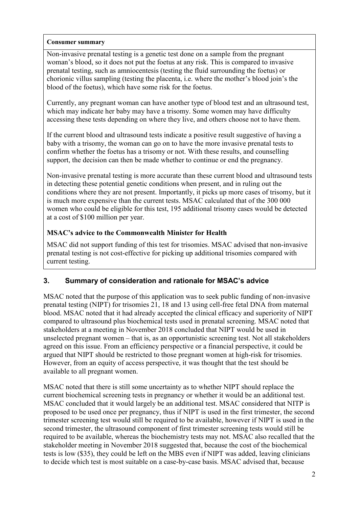#### **Consumer summary**

Non-invasive prenatal testing is a genetic test done on a sample from the pregnant woman's blood, so it does not put the foetus at any risk. This is compared to invasive prenatal testing, such as amniocentesis (testing the fluid surrounding the foetus) or chorionic villus sampling (testing the placenta, i.e. where the mother's blood join's the blood of the foetus), which have some risk for the foetus.

Currently, any pregnant woman can have another type of blood test and an ultrasound test, which may indicate her baby may have a trisomy. Some women may have difficulty accessing these tests depending on where they live, and others choose not to have them.

If the current blood and ultrasound tests indicate a positive result suggestive of having a baby with a trisomy, the woman can go on to have the more invasive prenatal tests to confirm whether the foetus has a trisomy or not. With these results, and counselling support, the decision can then be made whether to continue or end the pregnancy.

Non-invasive prenatal testing is more accurate than these current blood and ultrasound tests in detecting these potential genetic conditions when present, and in ruling out the conditions where they are not present. Importantly, it picks up more cases of trisomy, but it is much more expensive than the current tests. MSAC calculated that of the 300 000 women who could be eligible for this test, 195 additional trisomy cases would be detected at a cost of \$100 million per year.

#### **MSAC's advice to the Commonwealth Minister for Health**

MSAC did not support funding of this test for trisomies. MSAC advised that non-invasive prenatal testing is not cost-effective for picking up additional trisomies compared with current testing.

#### **3. Summary of consideration and rationale for MSAC's advice**

MSAC noted that the purpose of this application was to seek public funding of non-invasive prenatal testing (NIPT) for trisomies 21, 18 and 13 using cell-free fetal DNA from maternal blood. MSAC noted that it had already accepted the clinical efficacy and superiority of NIPT compared to ultrasound plus biochemical tests used in prenatal screening. MSAC noted that stakeholders at a meeting in November 2018 concluded that NIPT would be used in unselected pregnant women – that is, as an opportunistic screening test. Not all stakeholders agreed on this issue. From an efficiency perspective or a financial perspective, it could be argued that NIPT should be restricted to those pregnant women at high-risk for trisomies. However, from an equity of access perspective, it was thought that the test should be available to all pregnant women.

MSAC noted that there is still some uncertainty as to whether NIPT should replace the current biochemical screening tests in pregnancy or whether it would be an additional test. MSAC concluded that it would largely be an additional test. MSAC considered that NITP is proposed to be used once per pregnancy, thus if NIPT is used in the first trimester, the second trimester screening test would still be required to be available, however if NIPT is used in the second trimester, the ultrasound component of first trimester screening tests would still be required to be available, whereas the biochemistry tests may not. MSAC also recalled that the stakeholder meeting in November 2018 suggested that, because the cost of the biochemical tests is low (\$35), they could be left on the MBS even if NIPT was added, leaving clinicians to decide which test is most suitable on a case-by-case basis. MSAC advised that, because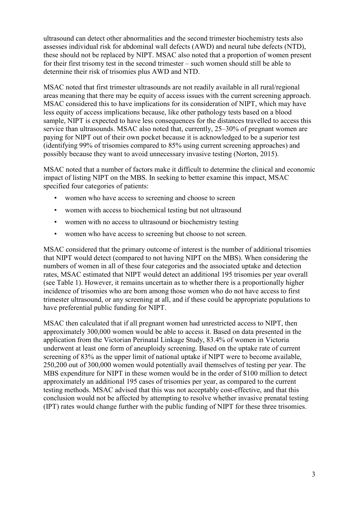ultrasound can detect other abnormalities and the second trimester biochemistry tests also assesses individual risk for abdominal wall defects (AWD) and neural tube defects (NTD), these should not be replaced by NIPT. MSAC also noted that a proportion of women present for their first trisomy test in the second trimester – such women should still be able to determine their risk of trisomies plus AWD and NTD.

MSAC noted that first trimester ultrasounds are not readily available in all rural/regional areas meaning that there may be equity of access issues with the current screening approach. MSAC considered this to have implications for its consideration of NIPT, which may have less equity of access implications because, like other pathology tests based on a blood sample, NIPT is expected to have less consequences for the distances travelled to access this service than ultrasounds. MSAC also noted that, currently, 25–30% of pregnant women are paying for NIPT out of their own pocket because it is acknowledged to be a superior test (identifying 99% of trisomies compared to 85% using current screening approaches) and possibly because they want to avoid unnecessary invasive testing (Norton, 2015).

MSAC noted that a number of factors make it difficult to determine the clinical and economic impact of listing NIPT on the MBS. In seeking to better examine this impact, MSAC specified four categories of patients:

- women who have access to screening and choose to screen
- women with access to biochemical testing but not ultrasound
- women with no access to ultrasound or biochemistry testing
- women who have access to screening but choose to not screen.

MSAC considered that the primary outcome of interest is the number of additional trisomies that NIPT would detect (compared to not having NIPT on the MBS). When considering the numbers of women in all of these four categories and the associated uptake and detection rates, MSAC estimated that NIPT would detect an additional 195 trisomies per year overall (see Table 1). However, it remains uncertain as to whether there is a proportionally higher incidence of trisomies who are born among those women who do not have access to first trimester ultrasound, or any screening at all, and if these could be appropriate populations to have preferential public funding for NIPT.

MSAC then calculated that if all pregnant women had unrestricted access to NIPT, then approximately 300,000 women would be able to access it. Based on data presented in the application from the Victorian Perinatal Linkage Study, 83.4% of women in Victoria underwent at least one form of aneuploidy screening. Based on the uptake rate of current screening of 83% as the upper limit of national uptake if NIPT were to become available, 250,200 out of 300,000 women would potentially avail themselves of testing per year. The MBS expenditure for NIPT in these women would be in the order of \$100 million to detect approximately an additional 195 cases of trisomies per year, as compared to the current testing methods. MSAC advised that this was not acceptably cost-effective, and that this conclusion would not be affected by attempting to resolve whether invasive prenatal testing (IPT) rates would change further with the public funding of NIPT for these three trisomies.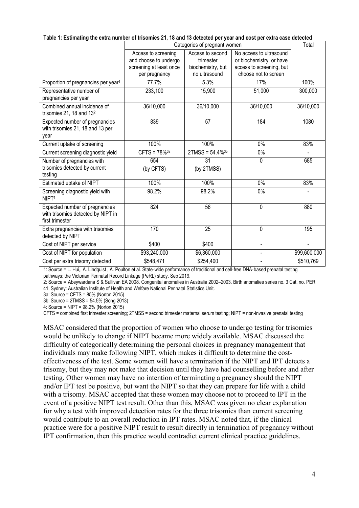|                                                                                         | Categories of pregnant women |                                |                          |              |  |
|-----------------------------------------------------------------------------------------|------------------------------|--------------------------------|--------------------------|--------------|--|
|                                                                                         | Access to screening          | Access to second               | No access to ultrasound  |              |  |
|                                                                                         | and choose to undergo        | trimester                      | or biochemistry, or have |              |  |
|                                                                                         | screening at least once      | biochemistry, but              | access to screening, but |              |  |
|                                                                                         | per pregnancy                | no ultrasound                  | choose not to screen     |              |  |
| Proportion of pregnancies per year <sup>1</sup>                                         | 77.7%                        | 5.3%                           | 17%                      | 100%         |  |
| Representative number of<br>pregnancies per year                                        | 233,100                      | 15,900                         | 51,000                   | 300,000      |  |
| Combined annual incidence of<br>trisomies 21, 18 and 13 <sup>2</sup>                    | 36/10,000                    | 36/10,000                      | 36/10,000                | 36/10,000    |  |
| Expected number of pregnancies<br>with trisomies 21, 18 and 13 per<br>year              | 839                          | 57                             | 184                      | 1080         |  |
| Current uptake of screening                                                             | 100%                         | 100%                           | $0\%$                    | 83%          |  |
| Current screening diagnostic yield                                                      | $CFTS = 78\%^{3a}$           | $2TMSS = 54.4\%$ <sup>3b</sup> | 0%                       |              |  |
| Number of pregnancies with                                                              | 654                          | 31                             | 0                        | 685          |  |
| trisomies detected by current<br>testing                                                | (by CFTS)                    | (by 2TMSS)                     |                          |              |  |
| Estimated uptake of NIPT                                                                | 100%                         | 100%                           | 0%                       | 83%          |  |
| Screening diagnostic yield with<br>NIPT <sup>4</sup>                                    | 98.2%                        | 98.2%                          | 0%                       |              |  |
| Expected number of pregnancies<br>with trisomies detected by NIPT in<br>first trimester | 824                          | 56                             | 0                        | 880          |  |
| Extra pregnancies with trisomies<br>detected by NIPT                                    | 170                          | 25                             | 0                        | 195          |  |
| Cost of NIPT per service                                                                | \$400                        | \$400                          | $\overline{\phantom{0}}$ |              |  |
| Cost of NIPT for population                                                             | \$93,240,000                 | \$6,360,000                    |                          | \$99,600,000 |  |
| Cost per extra trisomy detected                                                         | \$548,471                    | \$254,400                      |                          | \$510,769    |  |

**Table 1: Estimating the extra number of trisomies 21, 18 and 13 detected per year and cost per extra case detected**

1: Source = L. Hui,, A. Lindquist , A. Poulton et al. State-wide performance of traditional and cell-free DNA-based prenatal testing pathways: the Victorian Perinatal Record Linkage (PeRL) study. Sep 2019.

2: Source = Abeywardana S & Sullivan EA 2008. Congenital anomalies in Australia 2002–2003. Birth anomalies series no. 3 Cat. no. PER 41. Sydney: Australian Institute of Health and Welfare National Perinatal Statistics Unit.

3a: Source = CFTS = 85% (Norton 2015)

3b: Source = 2TMSS = 54.5% (Song 2013)

4: Source = NIPT = 98.2% (Norton 2015)

CFTS = combined first trimester screening; 2TMSS = second trimester maternal serum testing; NIPT = non-invasive prenatal testing

MSAC considered that the proportion of women who choose to undergo testing for trisomies would be unlikely to change if NIPT became more widely available. MSAC discussed the difficulty of categorically determining the personal choices in pregnancy management that individuals may make following NIPT, which makes it difficult to determine the costeffectiveness of the test. Some women will have a termination if the NIPT and IPT detects a trisomy, but they may not make that decision until they have had counselling before and after testing. Other women may have no intention of terminating a pregnancy should the NIPT and/or IPT test be positive, but want the NIPT so that they can prepare for life with a child with a trisomy. MSAC accepted that these women may choose not to proceed to IPT in the event of a positive NIPT test result. Other than this, MSAC was given no clear explanation for why a test with improved detection rates for the three trisomies than current screening would contribute to an overall reduction in IPT rates. MSAC noted that, if the clinical practice were for a positive NIPT result to result directly in termination of pregnancy without IPT confirmation, then this practice would contradict current clinical practice guidelines.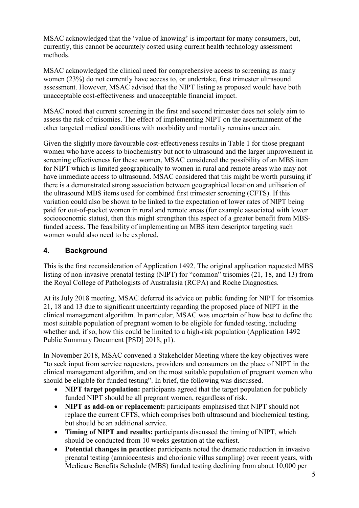MSAC acknowledged that the 'value of knowing' is important for many consumers, but, currently, this cannot be accurately costed using current health technology assessment methods.

MSAC acknowledged the clinical need for comprehensive access to screening as many women (23%) do not currently have access to, or undertake, first trimester ultrasound assessment. However, MSAC advised that the NIPT listing as proposed would have both unacceptable cost-effectiveness and unacceptable financial impact.

MSAC noted that current screening in the first and second trimester does not solely aim to assess the risk of trisomies. The effect of implementing NIPT on the ascertainment of the other targeted medical conditions with morbidity and mortality remains uncertain.

Given the slightly more favourable cost-effectiveness results in Table 1 for those pregnant women who have access to biochemistry but not to ultrasound and the larger improvement in screening effectiveness for these women, MSAC considered the possibility of an MBS item for NIPT which is limited geographically to women in rural and remote areas who may not have immediate access to ultrasound. MSAC considered that this might be worth pursuing if there is a demonstrated strong association between geographical location and utilisation of the ultrasound MBS items used for combined first trimester screening (CFTS). If this variation could also be shown to be linked to the expectation of lower rates of NIPT being paid for out-of-pocket women in rural and remote areas (for example associated with lower socioeconomic status), then this might strengthen this aspect of a greater benefit from MBSfunded access. The feasibility of implementing an MBS item descriptor targeting such women would also need to be explored.

#### **4. Background**

This is the first reconsideration of Application 1492. The original application requested MBS listing of non-invasive prenatal testing (NIPT) for "common" trisomies (21, 18, and 13) from the Royal College of Pathologists of Australasia (RCPA) and Roche Diagnostics.

At its July 2018 meeting, MSAC deferred its advice on public funding for NIPT for trisomies 21, 18 and 13 due to significant uncertainty regarding the proposed place of NIPT in the clinical management algorithm. In particular, MSAC was uncertain of how best to define the most suitable population of pregnant women to be eligible for funded testing, including whether and, if so, how this could be limited to a high-risk population (Application 1492 Public Summary Document [PSD] 2018, p1).

In November 2018, MSAC convened a Stakeholder Meeting where the key objectives were "to seek input from service requesters, providers and consumers on the place of NIPT in the clinical management algorithm, and on the most suitable population of pregnant women who should be eligible for funded testing". In brief, the following was discussed.

- **NIPT target population:** participants agreed that the target population for publicly funded NIPT should be all pregnant women, regardless of risk.
- **NIPT as add-on or replacement:** participants emphasised that NIPT should not replace the current CFTS, which comprises both ultrasound and biochemical testing, but should be an additional service.
- **Timing of NIPT and results:** participants discussed the timing of NIPT, which should be conducted from 10 weeks gestation at the earliest.
- **Potential changes in practice:** participants noted the dramatic reduction in invasive prenatal testing (amniocentesis and chorionic villus sampling) over recent years, with Medicare Benefits Schedule (MBS) funded testing declining from about 10,000 per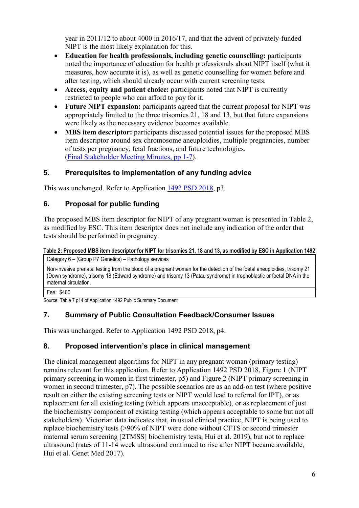year in 2011/12 to about 4000 in 2016/17, and that the advent of privately-funded NIPT is the most likely explanation for this.

- **Education for health professionals, including genetic counselling:** participants noted the importance of education for health professionals about NIPT itself (what it measures, how accurate it is), as well as genetic counselling for women before and after testing, which should already occur with current screening tests.
- **Access, equity and patient choice:** participants noted that NIPT is currently restricted to people who can afford to pay for it.
- **Future NIPT expansion:** participants agreed that the current proposal for NIPT was appropriately limited to the three trisomies 21, 18 and 13, but that future expansions were likely as the necessary evidence becomes available.
- **MBS item descriptor:** participants discussed potential issues for the proposed MBS item descriptor around sex chromosome aneuploidies, multiple pregnancies, number of tests per pregnancy, fetal fractions, and future technologies. [\(Final Stakeholder Meeting Minutes, pp 1-7\)](http://www.msac.gov.au/internet/msac/publishing.nsf/Content/1492-public).

## **5. Prerequisites to implementation of any funding advice**

This was unchanged. Refer to Application [1492 PSD 2018,](http://www.msac.gov.au/internet/msac/publishing.nsf/Content/1492-public) p3.

# **6. Proposal for public funding**

The proposed MBS item descriptor for NIPT of any pregnant woman is presented in Table 2, as modified by ESC. This item descriptor does not include any indication of the order that tests should be performed in pregnancy.

#### **Table 2: Proposed MBS item descriptor for NIPT for trisomies 21, 18 and 13, as modified by ESC in Application 1492** Category 6 – (Group P7 Genetics) – Pathology services

Non-invasive prenatal testing from the blood of a pregnant woman for the detection of the foetal aneuploidies, trisomy 21 (Down syndrome), trisomy 18 (Edward syndrome) and trisomy 13 (Patau syndrome) in trophoblastic or foetal DNA in the maternal circulation.

Fee: \$400

Source: Table 7 p14 of Application 1492 Public Summary Document

## **7. Summary of Public Consultation Feedback/Consumer Issues**

This was unchanged. Refer to Application 1492 PSD 2018, p4.

## **8. Proposed intervention's place in clinical management**

The clinical management algorithms for NIPT in any pregnant woman (primary testing) remains relevant for this application. Refer to Application 1492 PSD 2018, Figure 1 (NIPT primary screening in women in first trimester, p5) and Figure 2 (NIPT primary screening in women in second trimester, p7). The possible scenarios are as an add-on test (where positive result on either the existing screening tests or NIPT would lead to referral for IPT), or as replacement for all existing testing (which appears unacceptable), or as replacement of just the biochemistry component of existing testing (which appears acceptable to some but not all stakeholders). Victorian data indicates that, in usual clinical practice, NIPT is being used to replace biochemistry tests (>90% of NIPT were done without CFTS or second trimester maternal serum screening [2TMSS] biochemistry tests, Hui et al. 2019), but not to replace ultrasound (rates of 11-14 week ultrasound continued to rise after NIPT became available, Hui et al. Genet Med 2017).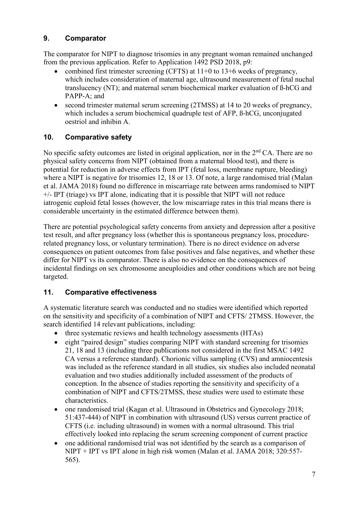### **9. Comparator**

The comparator for NIPT to diagnose trisomies in any pregnant woman remained unchanged from the previous application. Refer to Application 1492 PSD 2018, p9:

- combined first trimester screening (CFTS) at  $11+0$  to  $13+6$  weeks of pregnancy, which includes consideration of maternal age, ultrasound measurement of fetal nuchal translucency (NT); and maternal serum biochemical marker evaluation of ß-hCG and PAPP-A; and
- second trimester maternal serum screening (2TMSS) at 14 to 20 weeks of pregnancy, which includes a serum biochemical quadruple test of AFP, ß-hCG, unconjugated oestriol and inhibin A.

### **10. Comparative safety**

No specific safety outcomes are listed in original application, nor in the  $2<sup>nd</sup> CA$ . There are no physical safety concerns from NIPT (obtained from a maternal blood test), and there is potential for reduction in adverse effects from IPT (fetal loss, membrane rupture, bleeding) where a NIPT is negative for trisomies 12, 18 or 13. Of note, a large randomised trial (Malan et al. JAMA 2018) found no difference in miscarriage rate between arms randomised to NIPT +/- IPT (triage) vs IPT alone, indicating that it is possible that NIPT will not reduce iatrogenic euploid fetal losses (however, the low miscarriage rates in this trial means there is considerable uncertainty in the estimated difference between them).

There are potential psychological safety concerns from anxiety and depression after a positive test result, and after pregnancy loss (whether this is spontaneous pregnancy loss, procedurerelated pregnancy loss, or voluntary termination). There is no direct evidence on adverse consequences on patient outcomes from false positives and false negatives, and whether these differ for NIPT vs its comparator. There is also no evidence on the consequences of incidental findings on sex chromosome aneuploidies and other conditions which are not being targeted.

#### **11. Comparative effectiveness**

A systematic literature search was conducted and no studies were identified which reported on the sensitivity and specificity of a combination of NIPT and CFTS/ 2TMSS. However, the search identified 14 relevant publications, including:

- three systematic reviews and health technology assessments (HTAs)
- eight "paired design" studies comparing NIPT with standard screening for trisomies 21, 18 and 13 (including three publications not considered in the first MSAC 1492 CA versus a reference standard). Chorionic villus sampling (CVS) and amniocentesis was included as the reference standard in all studies, six studies also included neonatal evaluation and two studies additionally included assessment of the products of conception. In the absence of studies reporting the sensitivity and specificity of a combination of NIPT and CFTS/2TMSS, these studies were used to estimate these characteristics.
- one randomised trial (Kagan et al. Ultrasound in Obstetrics and Gynecology 2018; 51:437-444) of NIPT in combination with ultrasound (US) versus current practice of CFTS (i.e. including ultrasound) in women with a normal ultrasound. This trial effectively looked into replacing the serum screening component of current practice
- one additional randomised trial was not identified by the search as a comparison of NIPT + IPT vs IPT alone in high risk women (Malan et al. JAMA 2018; 320:557- 565).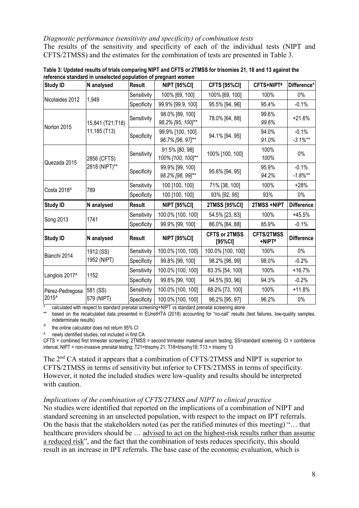#### *Diagnostic performance (sensitivity and specificity) of combination tests*

The results of the sensitivity and specificity of each of the individual tests (NIPT and CFTS/2TMSS) and the estimates for the combination of tests are presented in Table 3.

| <b>Study ID</b>          | N analysed       | <b>Result</b> | <b>NIPT [95%CI]</b>                  | <b>CFTS [95%CI]</b>             | CFTS+NIPT#                  | Difference*           |
|--------------------------|------------------|---------------|--------------------------------------|---------------------------------|-----------------------------|-----------------------|
| 1,949<br>Nicolaides 2012 |                  | Sensitivity   | 100% [69, 100]                       | 100% [69, 100]                  | 100%                        | $0\%$                 |
|                          |                  | Specificity   | 99.9% [99.9, 100]                    | 95.5% [94, 96]                  | 95.4%                       | $-0.1%$               |
| Norton 2015              | 15,841 (T21;T18) | Sensitivity   | 98.0% [89, 100]<br>98.2% [95, 100]** | 78.0% [64, 88]                  | 99.6%<br>99.6%              | $+21.6%$              |
|                          | 11,185 (T13)     | Specificity   | 99.9% [100, 100]<br>96.7% [96, 97]** | 94.1% [94, 95]                  | 94.0%<br>91.0%              | $-0.1%$<br>$-3.1\%**$ |
| Quezada 2015             | 2856 (CFTS)      | Sensitivity   | 91.5% [80, 98]<br>100% [100, 100]**  | 100% [100, 100]                 | 100%<br>100%                | $0\%$                 |
|                          | 2818 (NIPT)**    | Specificity   | 99.9% [99, 100]<br>98.2% [98, 99]**  | 95.6% [94, 95]                  | 95.9%<br>94.2%              | $-0.1%$<br>$-1.8%$ ** |
| Costa 2018 <sup>^</sup>  | 789              | Sensitivity   | 100 [100, 100]                       | 71% [38, 100]                   | 100%                        | $+28%$                |
|                          |                  | Specificity   | 100 [100, 100]                       | 93% [92, 95]                    | 93%                         | $0\%$                 |
| <b>Study ID</b>          | N analysed       | <b>Result</b> | <b>NIPT [95%CI]</b>                  | 2TMSS [95%CI]                   | 2TMSS +NIPT                 | <b>Difference</b>     |
| Song 2013                | 1741             | Sensitivity   | 100.0% [100, 100]                    | 54.5% [23, 83]                  | 100%                        | $+45.5%$              |
|                          |                  | Specificity   | 99.9% [99, 100]                      | 86.0% [84, 88]                  | 85.9%                       | $-0.1%$               |
| <b>Study ID</b>          | N analysed       | Result        | <b>NIPT [95%CI]</b>                  | <b>CFTS or 2TMSS</b><br>[95%CI] | <b>CFTS/2TMSS</b><br>+NIPT# | <b>Difference</b>     |
| Bianchi 2014             | 1912 (SS)        | Sensitivity   | 100.0% [100, 100]                    | 100.0% [100, 100]               | 100%                        | $0\%$                 |
|                          | 1952 (NIPT)      | Specificity   | 99.8% [99, 100]                      | 98.2% [98, 99]<br>98.0%         |                             | $-0.2%$               |
| Langlois 2017^           | 1152             | Sensitivity   | 100.0% [100, 100]                    | 83.3% [54, 100]                 | 100%                        | $+16.7%$              |
|                          |                  | Specificity   | 99.8% [99, 100]                      | 94.5% [93, 96]                  | 94.3%                       | $-0.2%$               |
| Pérez-Pedregosa          | 581 (SS)         | Sensitivity   | 100.0% [100, 100]                    | 88.2% [73, 100]                 | 100%                        | $+11.8%$              |
| 2015^                    | 579 (NIPT)       | Specificity   | 100.0% [100, 100]                    | 96.2% [95, 97]                  | 96.2%                       | $0\%$                 |

**Table 3: Updated results of trials comparing NIPT and CFTS or 2TMSS for trisomies 21, 18 and 13 against the reference standard in unselected population of pregnant women**

\* calculated with respect to standard prenatal screening+NIPT vs standard prenatal screening alone

\*\* based on the recalculated data presented in EUnetHTA (2018) accounting for "no-call" results (test failures, low-quality samples, indeterminate results)

# the online calculator does not return 95% CI

^ newly identified studies, not included in first CA

CFTS = combined first trimester screening; 2TMSS = second trimester maternal serum testing; SS=standard screening; CI = confidence interval; NIPT = non-invasive prenatal testing; T21=trisomy 21; T18=trisomy18; T13 = trisomy 13

The 2<sup>nd</sup> CA stated it appears that a combination of CFTS/2TMSS and NIPT is superior to CFTS/2TMSS in terms of sensitivity but inferior to CFTS/2TMSS in terms of specificity. However, it noted the included studies were low-quality and results should be interpreted with caution.

#### *Implications of the combination of CFTS/2TMSS and NIPT to clinical practice*

No studies were identified that reported on the implications of a combination of NIPT and standard screening in an unselected population, with respect to the impact on IPT referrals. On the basis that the stakeholders noted (as per the ratified minutes of this meeting) "… that healthcare providers should be ... advised to act on the highest-risk results rather than assume a reduced risk", and the fact that the combination of tests reduces specificity, this should result in an increase in IPT referrals. The base case of the economic evaluation, which is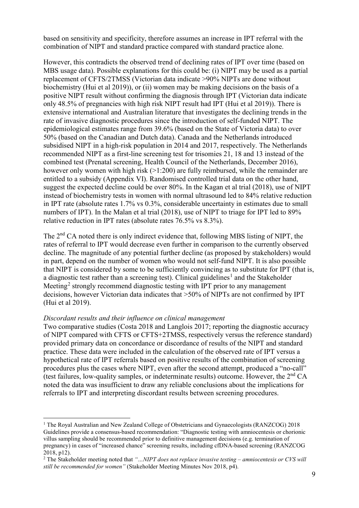based on sensitivity and specificity, therefore assumes an increase in IPT referral with the combination of NIPT and standard practice compared with standard practice alone.

However, this contradicts the observed trend of declining rates of IPT over time (based on MBS usage data). Possible explanations for this could be: (i) NIPT may be used as a partial replacement of CFTS/2TMSS (Victorian data indicate >90% NIPTs are done without biochemistry (Hui et al 2019)), or (ii) women may be making decisions on the basis of a positive NIPT result without confirming the diagnosis through IPT (Victorian data indicate only 48.5% of pregnancies with high risk NIPT result had IPT (Hui et al 2019)). There is extensive international and Australian literature that investigates the declining trends in the rate of invasive diagnostic procedures since the introduction of self-funded NIPT. The epidemiological estimates range from 39.6% (based on the State of Victoria data) to over 50% (based on the Canadian and Dutch data). Canada and the Netherlands introduced subsidised NIPT in a high-risk population in 2014 and 2017, respectively. The Netherlands recommended NIPT as a first-line screening test for trisomies 21, 18 and 13 instead of the combined test (Prenatal screening, Health Council of the Netherlands, December 2016), however only women with high risk ( $>1:200$ ) are fully reimbursed, while the remainder are entitled to a subsidy (Appendix VI). Randomised controlled trial data on the other hand, suggest the expected decline could be over 80%. In the Kagan et al trial (2018), use of NIPT instead of biochemistry tests in women with normal ultrasound led to 84% relative reduction in IPT rate (absolute rates 1.7% vs 0.3%, considerable uncertainty in estimates due to small numbers of IPT). In the Malan et al trial (2018), use of NIPT to triage for IPT led to 89% relative reduction in IPT rates (absolute rates 76.5% vs 8.3%).

The 2<sup>nd</sup> CA noted there is only indirect evidence that, following MBS listing of NIPT, the rates of referral to IPT would decrease even further in comparison to the currently observed decline. The magnitude of any potential further decline (as proposed by stakeholders) would in part, depend on the number of women who would not self-fund NIPT. It is also possible that NIPT is considered by some to be sufficiently convincing as to substitute for IPT (that is, a diagnostic test rather than a screening test). Clinical guidelines<sup>[1](#page-8-0)</sup> and the Stakeholder Meeting<sup>[2](#page-8-1)</sup> strongly recommend diagnostic testing with IPT prior to any management decisions, however Victorian data indicates that >50% of NIPTs are not confirmed by IPT (Hui et al 2019).

#### *Discordant results and their influence on clinical management*

Two comparative studies (Costa 2018 and Langlois 2017; reporting the diagnostic accuracy of NIPT compared with CFTS or CFTS+2TMSS, respectively versus the reference standard) provided primary data on concordance or discordance of results of the NIPT and standard practice. These data were included in the calculation of the observed rate of IPT versus a hypothetical rate of IPT referrals based on positive results of the combination of screening procedures plus the cases where NIPT, even after the second attempt, produced a "no-call" (test failures, low-quality samples, or indeterminate results) outcome. However, the  $2<sup>nd</sup> CA$ noted the data was insufficient to draw any reliable conclusions about the implications for referrals to IPT and interpreting discordant results between screening procedures.

<span id="page-8-0"></span> <sup>1</sup> The Royal Australian and New Zealand College of Obstetricians and Gynaecologists (RANZCOG) 2018 Guidelines provide a consensus-based recommendation: "Diagnostic testing with amniocentesis or chorionic villus sampling should be recommended prior to definitive management decisions (e.g. termination of pregnancy) in cases of "increased chance" screening results, including cfDNA-based screening (RANZCOG 2018, p12).

<span id="page-8-1"></span><sup>2</sup> The Stakeholder meeting noted that *"…NIPT does not replace invasive testing – amniocentesis or CVS will still be recommended for women"* (Stakeholder Meeting Minutes Nov 2018, p4).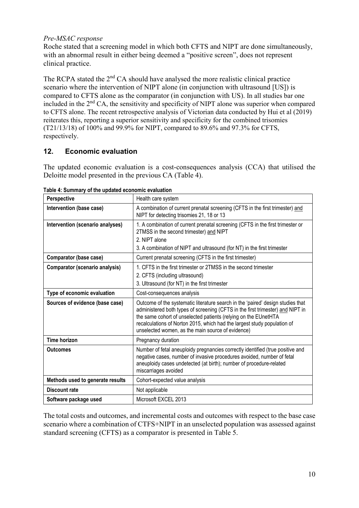#### *Pre-MSAC response*

Roche stated that a screening model in which both CFTS and NIPT are done simultaneously, with an abnormal result in either being deemed a "positive screen", does not represent clinical practice.

The RCPA stated the  $2<sup>nd</sup> CA$  should have analysed the more realistic clinical practice scenario where the intervention of NIPT alone (in conjunction with ultrasound [US]) is compared to CFTS alone as the comparator (in conjunction with US). In all studies bar one included in the 2nd CA, the sensitivity and specificity of NIPT alone was superior when compared to CFTS alone. The recent retrospective analysis of Victorian data conducted by Hui et al (2019) reiterates this, reporting a superior sensitivity and specificity for the combined trisomies (T21/13/18) of 100% and 99.9% for NIPT, compared to 89.6% and 97.3% for CFTS, respectively.

#### **12. Economic evaluation**

The updated economic evaluation is a cost-consequences analysis (CCA) that utilised the Deloitte model presented in the previous CA (Table 4).

| Perspective                           | Health care system                                                                                                                                                                                                                                                                                                                                                    |
|---------------------------------------|-----------------------------------------------------------------------------------------------------------------------------------------------------------------------------------------------------------------------------------------------------------------------------------------------------------------------------------------------------------------------|
| Intervention (base case)              | A combination of current prenatal screening (CFTS in the first trimester) and<br>NIPT for detecting trisomies 21, 18 or 13                                                                                                                                                                                                                                            |
| Intervention (scenario analyses)      | 1. A combination of current prenatal screening (CFTS in the first trimester or<br>2TMSS in the second trimester) and NIPT<br>2. NIPT alone<br>3. A combination of NIPT and ultrasound (for NT) in the first trimester                                                                                                                                                 |
| Comparator (base case)                | Current prenatal screening (CFTS in the first trimester)                                                                                                                                                                                                                                                                                                              |
| <b>Comparator (scenario analysis)</b> | 1. CFTS in the first trimester or 2TMSS in the second trimester<br>2. CFTS (including ultrasound)<br>3. Ultrasound (for NT) in the first trimester                                                                                                                                                                                                                    |
| Type of economic evaluation           | Cost-consequences analysis                                                                                                                                                                                                                                                                                                                                            |
| Sources of evidence (base case)       | Outcome of the systematic literature search in the 'paired' design studies that<br>administered both types of screening (CFTS in the first trimester) and NIPT in<br>the same cohort of unselected patients (relying on the EUnetHTA<br>recalculations of Norton 2015, which had the largest study population of<br>unselected women, as the main source of evidence) |
| <b>Time horizon</b>                   | Pregnancy duration                                                                                                                                                                                                                                                                                                                                                    |
| <b>Outcomes</b>                       | Number of fetal aneuploidy pregnancies correctly identified (true positive and<br>negative cases, number of invasive procedures avoided, number of fetal<br>aneuploidy cases undetected (at birth); number of procedure-related<br>miscarriages avoided                                                                                                               |
| Methods used to generate results      | Cohort-expected value analysis                                                                                                                                                                                                                                                                                                                                        |
| <b>Discount rate</b>                  | Not applicable                                                                                                                                                                                                                                                                                                                                                        |
| Software package used                 | Microsoft EXCEL 2013                                                                                                                                                                                                                                                                                                                                                  |

**Table 4: Summary of the updated economic evaluation**

The total costs and outcomes, and incremental costs and outcomes with respect to the base case scenario where a combination of CTFS+NIPT in an unselected population was assessed against standard screening (CFTS) as a comparator is presented in Table 5.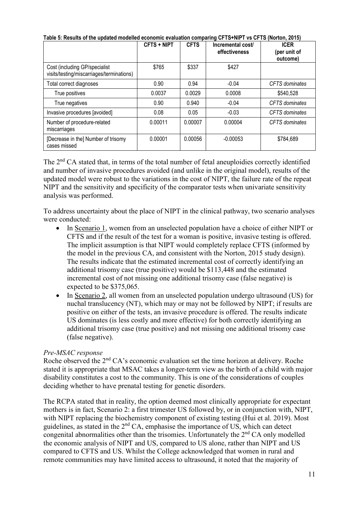|                                                                            | <b>CFTS + NIPT</b> | <b>CFTS</b> | Incremental cost/<br>effectiveness | <b>ICER</b><br>(per unit of<br>outcome) |
|----------------------------------------------------------------------------|--------------------|-------------|------------------------------------|-----------------------------------------|
| Cost (including GP/specialist<br>visits/testing/miscarriages/terminations) | \$765              | \$337       | \$427                              |                                         |
| Total correct diagnoses                                                    | 0.90               | 0.94        | $-0.04$                            | CFTS dominates                          |
| True positives                                                             | 0.0037             | 0.0029      | 0.0008                             | \$540,528                               |
| True negatives                                                             | 0.90               | 0.940       | $-0.04$                            | CFTS dominates                          |
| Invasive procedures [avoided]                                              | 0.08               | 0.05        | $-0.03$                            | CFTS dominates                          |
| Number of procedure-related<br>miscarriages                                | 0.00011            | 0.00007     | 0.00004                            | <b>CFTS</b> dominates                   |
| [Decrease in the] Number of trisomy<br>cases missed                        | 0.00001            | 0.00056     | $-0.00053$                         | \$784,689                               |

**Table 5: Results of the updated modelled economic evaluation comparing CFTS+NIPT vs CFTS (Norton, 2015)**

The 2<sup>nd</sup> CA stated that, in terms of the total number of fetal aneuploidies correctly identified and number of invasive procedures avoided (and unlike in the original model), results of the updated model were robust to the variations in the cost of NIPT, the failure rate of the repeat NIPT and the sensitivity and specificity of the comparator tests when univariate sensitivity analysis was performed.

To address uncertainty about the place of NIPT in the clinical pathway, two scenario analyses were conducted:

- In Scenario 1, women from an unselected population have a choice of either NIPT or CFTS and if the result of the test for a woman is positive, invasive testing is offered. The implicit assumption is that NIPT would completely replace CFTS (informed by the model in the previous CA, and consistent with the Norton, 2015 study design). The results indicate that the estimated incremental cost of correctly identifying an additional trisomy case (true positive) would be \$113,448 and the estimated incremental cost of not missing one additional trisomy case (false negative) is expected to be \$375,065.
- In Scenario 2, all women from an unselected population undergo ultrasound (US) for nuchal translucency (NT), which may or may not be followed by NIPT; if results are positive on either of the tests, an invasive procedure is offered. The results indicate US dominates (is less costly and more effective) for both correctly identifying an additional trisomy case (true positive) and not missing one additional trisomy case (false negative).

#### *Pre-MSAC response*

Roche observed the 2<sup>nd</sup> CA's economic evaluation set the time horizon at delivery. Roche stated it is appropriate that MSAC takes a longer-term view as the birth of a child with major disability constitutes a cost to the community. This is one of the considerations of couples deciding whether to have prenatal testing for genetic disorders.

The RCPA stated that in reality, the option deemed most clinically appropriate for expectant mothers is in fact, Scenario 2: a first trimester US followed by, or in conjunction with, NIPT, with NIPT replacing the biochemistry component of existing testing (Hui et al. 2019). Most guidelines, as stated in the 2nd CA, emphasise the importance of US, which can detect congenital abnormalities other than the trisomies. Unfortunately the  $2<sup>nd</sup> CA$  only modelled the economic analysis of NIPT and US, compared to US alone, rather than NIPT and US compared to CFTS and US. Whilst the College acknowledged that women in rural and remote communities may have limited access to ultrasound, it noted that the majority of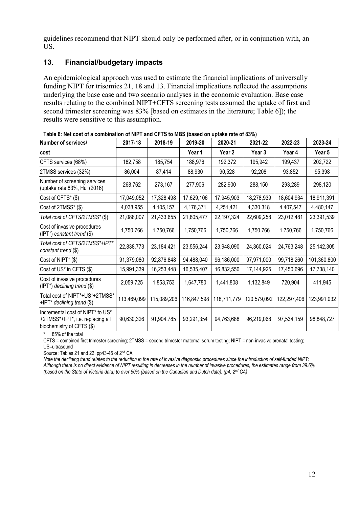guidelines recommend that NIPT should only be performed after, or in conjunction with, an US.

### **13. Financial/budgetary impacts**

An epidemiological approach was used to estimate the financial implications of universally funding NIPT for trisomies 21, 18 and 13. Financial implications reflected the assumptions underlying the base case and two scenario analyses in the economic evaluation. Base case results relating to the combined NIPT+CFTS screening tests assumed the uptake of first and second trimester screening was 83% [based on estimates in the literature; Table 6]); the results were sensitive to this assumption.

| Number of services/                                                                               | 2017-18     | 2018-19     | 2019-20     | 2020-21           | 2021-22     | 2022-23     | 2023-24      |
|---------------------------------------------------------------------------------------------------|-------------|-------------|-------------|-------------------|-------------|-------------|--------------|
| lcost                                                                                             |             |             | Year 1      | Year <sub>2</sub> | Year 3      | Year 4      | Year 5       |
| CFTS services (68%)                                                                               | 182,758     | 185,754     | 188,976     | 192,372           | 195,942     | 199,437     | 202,722      |
| 2TMSS services (32%)                                                                              | 86,004      | 87,414      | 88,930      | 90,528            | 92,208      | 93,852      | 95,398       |
| Number of screening services<br>(uptake rate 83%, Hui (2016)                                      | 268,762     | 273,167     | 277,906     | 282,900           | 288,150     | 293,289     | 298,120      |
| Cost of CFTS* (\$)                                                                                | 17,049,052  | 17,328,498  | 17,629,106  | 17,945,903        | 18,278,939  | 18,604,934  | 18,911,391   |
| Cost of 2TMSS* (\$)                                                                               | 4,038,955   | 4,105,157   | 4,176,371   | 4,251,421         | 4,330,318   | 4,407,547   | 4,480,147    |
| Total cost of CFTS/2TMSS*(\$)                                                                     | 21,088,007  | 21,433,655  | 21,805,477  | 22,197,324        | 22,609,258  | 23,012,481  | 23,391,539   |
| Cost of invasive procedures<br>(IPT*) constant trend (\$)                                         | 1,750,766   | 1,750,766   | 1,750,766   | 1,750,766         | 1,750,766   | 1,750,766   | 1,750,766    |
| Total cost of CFTS/2TMSS*+IPT*<br>constant trend (\$)                                             | 22,838,773  | 23,184,421  | 23,556,244  | 23,948,090        | 24,360,024  | 24,763,248  | 25, 142, 305 |
| Cost of NIPT* (\$)                                                                                | 91,379,080  | 92,876,848  | 94,488,040  | 96,186,000        | 97,971,000  | 99,718,260  | 101,360,800  |
| Cost of US* in CFTS (\$)                                                                          | 15,991,339  | 16,253,448  | 16,535,407  | 16,832,550        | 17,144,925  | 17,450,696  | 17,738,140   |
| Cost of invasive procedures<br>(IPT*) declining trend (\$)                                        | 2,059,725   | 1,853,753   | 1,647,780   | 1,441,808         | 1,132,849   | 720,904     | 411,945      |
| Total cost of NIPT*+US*+2TMSS*<br>+IPT* declining trend (\$)                                      | 113,469,099 | 115,089,206 | 116,847,598 | 118,711,779       | 120,579,092 | 122,297,406 | 123,991,032  |
| Incremental cost of NIPT* to US*<br>+2TMSS*+IPT*, i.e. replacing all<br>biochemistry of CFTS (\$) | 90,630,326  | 91,904,785  | 93,291,354  | 94,763,688        | 96,219,068  | 97,534,159  | 98,848,727   |

**Table 6: Net cost of a combination of NIPT and CFTS to MBS (based on uptake rate of 83%)**

\* 85% of the total

CFTS = combined first trimester screening; 2TMSS = second trimester maternal serum testing; NIPT = non-invasive prenatal testing; US=ultrasound

Source: Tables 21 and 22, pp43-45 of 2nd CA

*Note the declining trend relates to the reduction in the rate of invasive diagnostic procedures since the introduction of self-funded NIPT; Although there is no direct evidence of NIPT resulting in decreases in the number of invasive procedures, the estimates range from 39.6% (based on the State of Victoria data) to over 50% (based on the Canadian and Dutch data). (p4, 2nd CA)*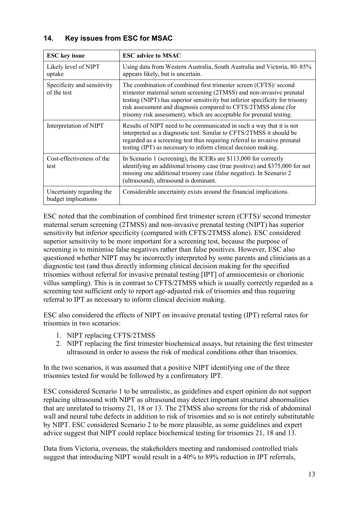## **14. Key issues from ESC for MSAC**

| <b>ESC</b> key issue                             | <b>ESC</b> advice to MSAC                                                                                                                                                                                                                                                                                                                                            |
|--------------------------------------------------|----------------------------------------------------------------------------------------------------------------------------------------------------------------------------------------------------------------------------------------------------------------------------------------------------------------------------------------------------------------------|
| Likely level of NIPT<br>uptake                   | Using data from Western Australia, South Australia and Victoria, 80–85%<br>appears likely, but is uncertain.                                                                                                                                                                                                                                                         |
| Specificity and sensitivity<br>of the test       | The combination of combined first trimester screen (CFTS)/ second<br>trimester maternal serum screening (2TMSS) and non-invasive prenatal<br>testing (NIPT) has superior sensitivity but inferior specificity for trisomy<br>risk assessment and diagnosis compared to CFTS/2TMSS alone (for<br>trisomy risk assessment), which are acceptable for prenatal testing. |
| Interpretation of NIPT                           | Results of NIPT need to be communicated in such a way that it is not<br>interpreted as a diagnostic test. Similar to CFTS/2TMSS it should be<br>regarded as a screening test thus requiring referral to invasive prenatal<br>testing (IPT) as necessary to inform clinical decision making.                                                                          |
| Cost-effectiveness of the<br>test                | In Scenario 1 (screening), the ICERs are \$113,000 for correctly<br>identifying an additional trisomy case (true positive) and \$375,000 for not<br>missing one additional trisomy case (false negative). In Scenario 2<br>(ultrasound), ultrasound is dominant.                                                                                                     |
| Uncertainty regarding the<br>budget implications | Considerable uncertainty exists around the financial implications.                                                                                                                                                                                                                                                                                                   |

ESC noted that the combination of combined first trimester screen (CFTS)/ second trimester maternal serum screening (2TMSS) and non-invasive prenatal testing (NIPT) has superior sensitivity but inferior specificity (compared with CFTS/2TMSS alone). ESC considered superior sensitivity to be more important for a screening test, because the purpose of screening is to minimise false negatives rather than false positives. However, ESC also questioned whether NIPT may be incorrectly interpreted by some parents and clinicians as a diagnostic test (and thus directly informing clinical decision making for the specified trisomies without referral for invasive prenatal testing [IPT] of amniocentesis or chorionic villus sampling). This is in contrast to CFTS/2TMSS which is usually correctly regarded as a screening test sufficient only to report age-adjusted risk of trisomies and thus requiring referral to IPT as necessary to inform clinical decision making.

ESC also considered the effects of NIPT on invasive prenatal testing (IPT) referral rates for trisomies in two scenarios:

- 1. NIPT replacing CFTS/2TMSS
- 2. NIPT replacing the first trimester biochemical assays, but retaining the first trimester ultrasound in order to assess the risk of medical conditions other than trisomies.

In the two scenarios, it was assumed that a positive NIPT identifying one of the three trisomies tested for would be followed by a confirmatory IPT.

ESC considered Scenario 1 to be unrealistic, as guidelines and expert opinion do not support replacing ultrasound with NIPT as ultrasound may detect important structural abnormalities that are unrelated to trisomy 21, 18 or 13. The 2TMSS also screens for the risk of abdominal wall and neural tube defects in addition to risk of trisomies and so is not entirely substitutable by NIPT. ESC considered Scenario 2 to be more plausible, as some guidelines and expert advice suggest that NIPT could replace biochemical testing for trisomies 21, 18 and 13.

Data from Victoria, overseas, the stakeholders meeting and randomised controlled trials suggest that introducing NIPT would result in a 40% to 89% reduction in IPT referrals,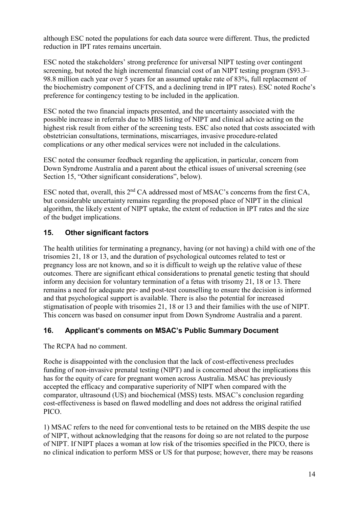although ESC noted the populations for each data source were different. Thus, the predicted reduction in IPT rates remains uncertain.

ESC noted the stakeholders' strong preference for universal NIPT testing over contingent screening, but noted the high incremental financial cost of an NIPT testing program (\$93.3– 98.8 million each year over 5 years for an assumed uptake rate of 83%, full replacement of the biochemistry component of CFTS, and a declining trend in IPT rates). ESC noted Roche's preference for contingency testing to be included in the application.

ESC noted the two financial impacts presented, and the uncertainty associated with the possible increase in referrals due to MBS listing of NIPT and clinical advice acting on the highest risk result from either of the screening tests. ESC also noted that costs associated with obstetrician consultations, terminations, miscarriages, invasive procedure-related complications or any other medical services were not included in the calculations.

ESC noted the consumer feedback regarding the application, in particular, concern from Down Syndrome Australia and a parent about the ethical issues of universal screening (see Section 15, "Other significant considerations", below).

ESC noted that, overall, this 2<sup>nd</sup> CA addressed most of MSAC's concerns from the first CA, but considerable uncertainty remains regarding the proposed place of NIPT in the clinical algorithm, the likely extent of NIPT uptake, the extent of reduction in IPT rates and the size of the budget implications.

## **15. Other significant factors**

The health utilities for terminating a pregnancy, having (or not having) a child with one of the trisomies 21, 18 or 13, and the duration of psychological outcomes related to test or pregnancy loss are not known, and so it is difficult to weigh up the relative value of these outcomes. There are significant ethical considerations to prenatal genetic testing that should inform any decision for voluntary termination of a fetus with trisomy 21, 18 or 13. There remains a need for adequate pre- and post-test counselling to ensure the decision is informed and that psychological support is available. There is also the potential for increased stigmatisation of people with trisomies 21, 18 or 13 and their families with the use of NIPT. This concern was based on consumer input from Down Syndrome Australia and a parent.

#### **16. Applicant's comments on MSAC's Public Summary Document**

The RCPA had no comment.

Roche is disappointed with the conclusion that the lack of cost-effectiveness precludes funding of non-invasive prenatal testing (NIPT) and is concerned about the implications this has for the equity of care for pregnant women across Australia. MSAC has previously accepted the efficacy and comparative superiority of NIPT when compared with the comparator, ultrasound (US) and biochemical (MSS) tests. MSAC's conclusion regarding cost-effectiveness is based on flawed modelling and does not address the original ratified PICO.

1) MSAC refers to the need for conventional tests to be retained on the MBS despite the use of NIPT, without acknowledging that the reasons for doing so are not related to the purpose of NIPT. If NIPT places a woman at low risk of the trisomies specified in the PICO, there is no clinical indication to perform MSS or US for that purpose; however, there may be reasons